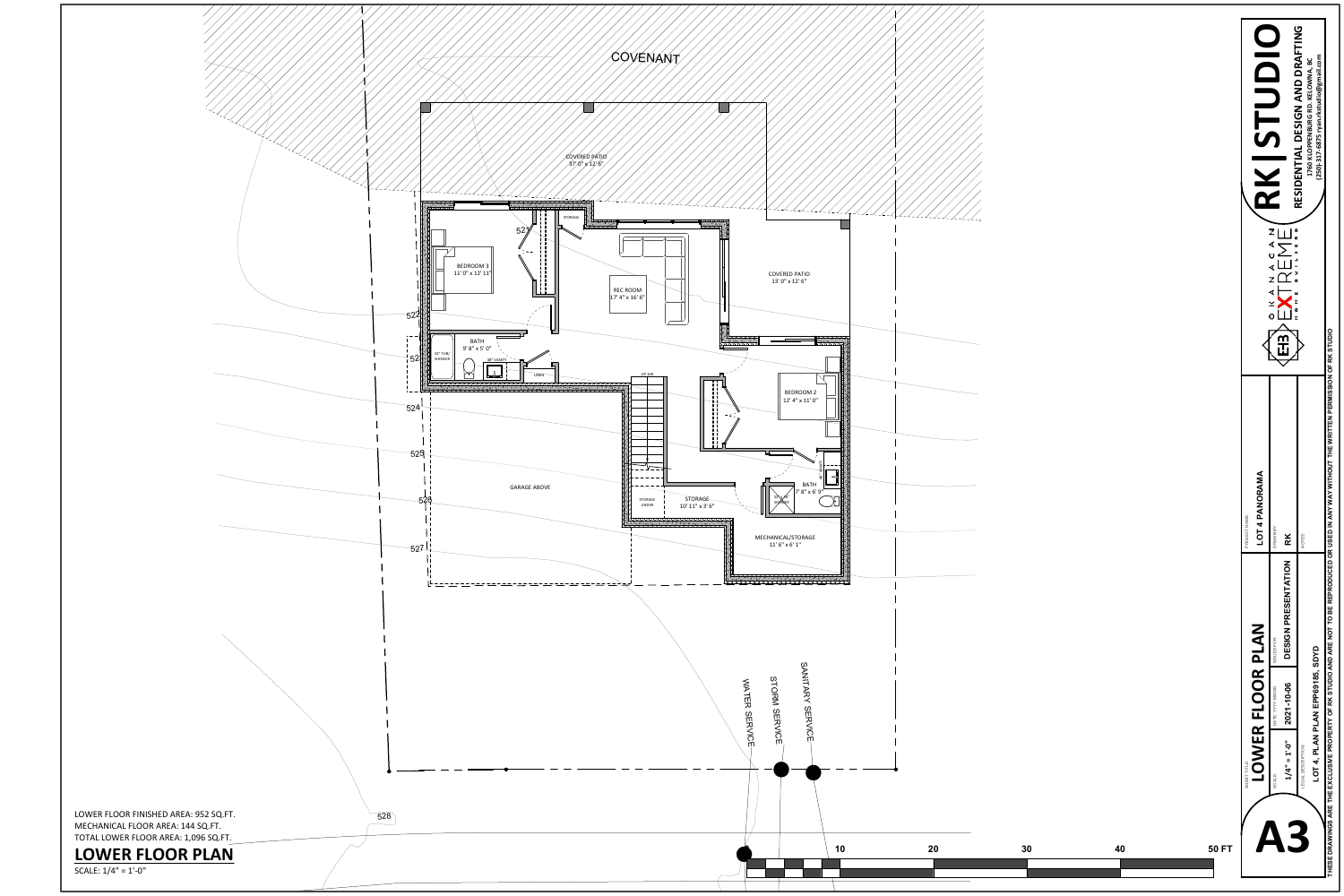

| <b>COVERED PATIO</b><br>$13'$ $0''$ x $12'$ $6''$<br><u> x x x x x x x x</u><br>24391562<br>$\overline{\phantom{0}}$<br>BEDROOM 2                                                                                       | $     \angle$ |    |    |              | N<br>zั⊞๊ะ<br>zΓ<br>o<br>ՠ                                                                                                                                    | RESIDENTIAL DESIGN AND DRAFTING<br>(250)-317-6875 ryan.rkstudio@gmail.com<br>1760 KLOPPENBURG RD. KELOWNA, BC<br>7.<br>۱≖<br>OF RK STUDIO                                                                               |
|-------------------------------------------------------------------------------------------------------------------------------------------------------------------------------------------------------------------------|---------------|----|----|--------------|---------------------------------------------------------------------------------------------------------------------------------------------------------------|-------------------------------------------------------------------------------------------------------------------------------------------------------------------------------------------------------------------------|
| $12^\circ\,4^{\rm u} \times 11^\prime\,0^{\rm u}$<br>$\mathbb{R}$<br>$\mathbb{R}$<br>$\frac{8}{3}$<br>$\frac{1}{\sqrt{2}}$<br><b>BATH</b><br>7' 8" x 6' 9"<br>32\x36"<br>SHOWER<br>MECHANICAL/STORAGE<br>11' 6" x 6' 1" |               |    |    |              | PANORAMA<br>PROJECT NAME:<br>4<br>DRAWN BY:<br><b>LO1</b><br>R <sub>K</sub>                                                                                   | NOTES:                                                                                                                                                                                                                  |
| ------------------<br>SANITARY SERVICE<br>STORM<br><b>NATER SERVICE</b><br><b>SERVICE</b><br>10                                                                                                                         | <b>20</b>     | 30 | 40 | <b>50 FT</b> | DESIGN PRESENTATION<br>PLAN<br>ISSUED FOR:<br>$\alpha$<br>OO<br><b>GG-WIN-AA</b><br>ᄑ<br>DATE: YY<br>OWER<br>$1/4" = 1'-0"$<br><b>FILL</b><br>SCALE:<br>SHEET | THESE DRAWINGS ARE THE EXCLUSIVE PROPERTY OF RK STUDIO AND ARE NOT TO BE REPRODUCED OR USED IN ANY WAY WITHOUT THE WRITTEN PERMISSION<br>SDYD<br>LOT 4, PLAN PLAN EPP69185,<br>$-10 - 06$<br>2021<br>LEGAL DESCRIPTION: |